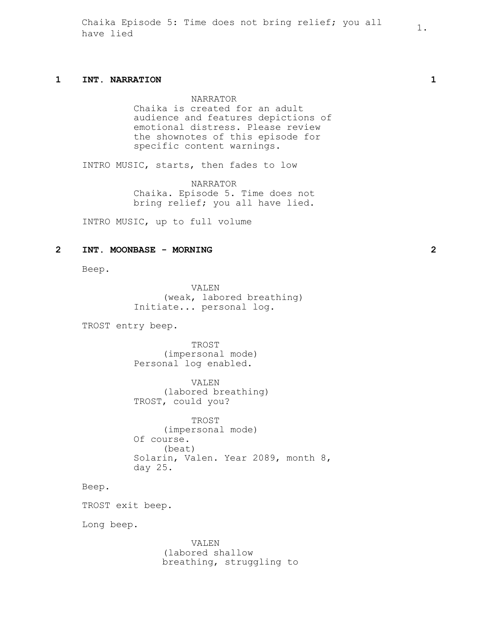Chaika Episode 5: Time does not bring relief; you all  $1$ .<br>have lied

## **1 INT. NARRATION 1**

NARRATOR

Chaika is created for an adult audience and features depictions of emotional distress. Please review the shownotes of this episode for specific content warnings.

INTRO MUSIC, starts, then fades to low

NARRATOR Chaika. Episode 5. Time does not bring relief; you all have lied.

INTRO MUSIC, up to full volume

### **2 INT. MOONBASE - MORNING 2**

Beep.

VALEN (weak, labored breathing) Initiate... personal log.

TROST entry beep.

TROST (impersonal mode) Personal log enabled.

VALEN (labored breathing) TROST, could you?

TROST (impersonal mode) Of course. (beat) Solarin, Valen. Year 2089, month 8, day 25.

Beep.

TROST exit beep.

Long beep.

VALEN (labored shallow breathing, struggling to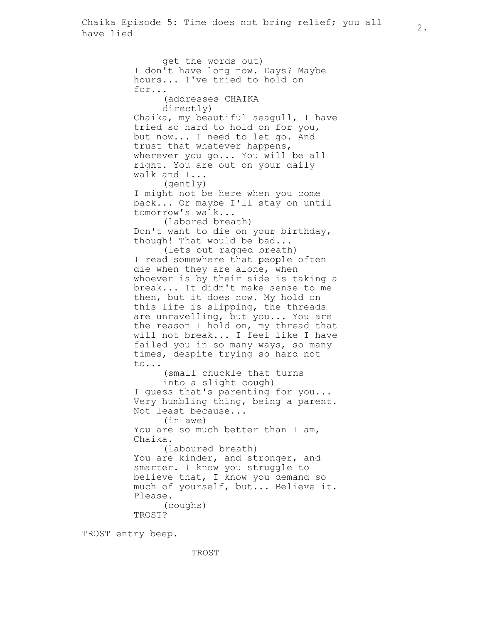get the words out) I don't have long now. Days? Maybe hours... I've tried to hold on for... (addresses CHAIKA directly) Chaika, my beautiful seagull, I have tried so hard to hold on for you, but now... I need to let go. And trust that whatever happens, wherever you go... You will be all right. You are out on your daily walk and I... (gently) I might not be here when you come back... Or maybe I'll stay on until tomorrow's walk... (labored breath) Don't want to die on your birthday, though! That would be bad... (lets out ragged breath) I read somewhere that people often die when they are alone, when whoever is by their side is taking a break... It didn't make sense to me then, but it does now. My hold on this life is slipping, the threads are unravelling, but you... You are the reason I hold on, my thread that will not break... I feel like I have failed you in so many ways, so many times, despite trying so hard not to... (small chuckle that turns into a slight cough) I guess that's parenting for you... Very humbling thing, being a parent. Not least because... (in awe) You are so much better than I am, Chaika. (laboured breath) You are kinder, and stronger, and smarter. I know you struggle to believe that, I know you demand so much of yourself, but... Believe it. Please. (coughs) TROST?

TROST entry beep.

TROST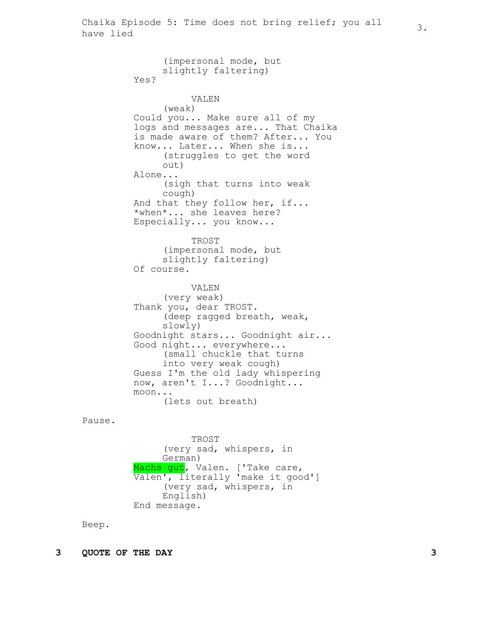(impersonal mode, but slightly faltering) Yes? VALEN (weak) Could you... Make sure all of my logs and messages are... That Chaika is made aware of them? After... You know... Later... When she is... (struggles to get the word out) Alone... (sigh that turns into weak cough) And that they follow her, if... \*when\*... she leaves here? Especially... you know... TROST (impersonal mode, but slightly faltering) Of course. VALEN (very weak) Thank you, dear TROST. (deep ragged breath, weak, slowly) Goodnight stars... Goodnight air... Good night... everywhere... (small chuckle that turns into very weak cough) Guess I'm the old lady whispering now, aren't I...? Goodnight... moon... (lets out breath)

Pause.

TROST (very sad, whispers, in German) Machs gut, Valen. ['Take care, Valen', literally 'make it good'] (very sad, whispers, in English) End message.

Beep.

**3 QUOTE OF THE DAY 3**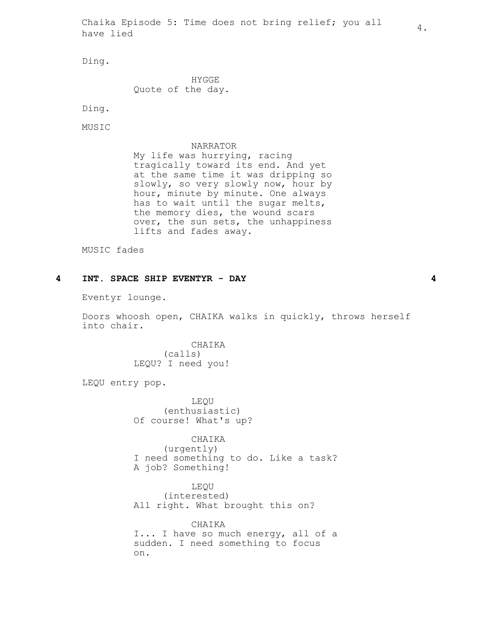Chaika Episode 5: Time does not bring relief; you all  $\frac{4}{4}$ .

Ding.

HYGGE Quote of the day.

Ding.

MUSIC

### NARRATOR

My life was hurrying, racing tragically toward its end. And yet at the same time it was dripping so slowly, so very slowly now, hour by hour, minute by minute. One always has to wait until the sugar melts, the memory dies, the wound scars over, the sun sets, the unhappiness lifts and fades away.

MUSIC fades

# **4 INT. SPACE SHIP EVENTYR - DAY 4**

Eventyr lounge.

Doors whoosh open, CHAIKA walks in quickly, throws herself into chair.

> CHAIKA (calls) LEQU? I need you!

LEQU entry pop.

LEQU (enthusiastic) Of course! What's up?

CHAIKA

(urgently) I need something to do. Like a task? A job? Something!

LEQU (interested) All right. What brought this on?

CHAIKA I... I have so much energy, all of a sudden. I need something to focus on.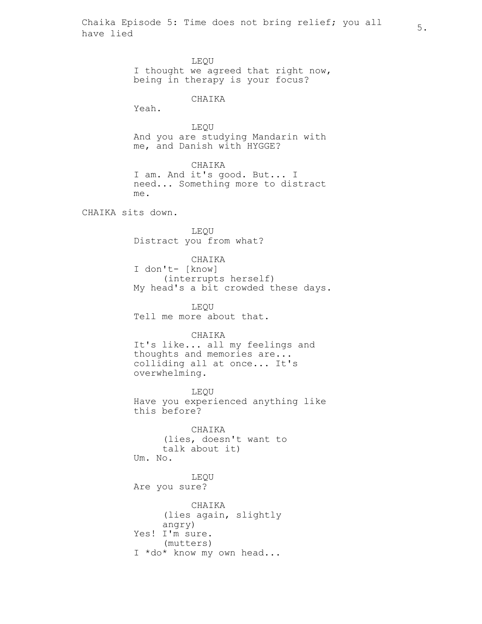Chaika Episode 5: Time does not bring relief; you all  $\begin{array}{cc} 5. \end{array}$ 

LEQU I thought we agreed that right now, being in therapy is your focus? CHAIKA Yeah. LEQU And you are studying Mandarin with me, and Danish with HYGGE? CHAIKA I am. And it's good. But... I need... Something more to distract me. CHAIKA sits down. LEQU Distract you from what? CHAIKA I don't- [know] (interrupts herself) My head's a bit crowded these days.

> LEQU Tell me more about that.

# CHAIKA

It's like... all my feelings and thoughts and memories are... colliding all at once... It's overwhelming.

LEQU Have you experienced anything like this before?

CHAIKA (lies, doesn't want to talk about it) Um. No.

LEQU Are you sure?

CHAIKA (lies again, slightly angry) Yes! I'm sure. (mutters) I \*do\* know my own head...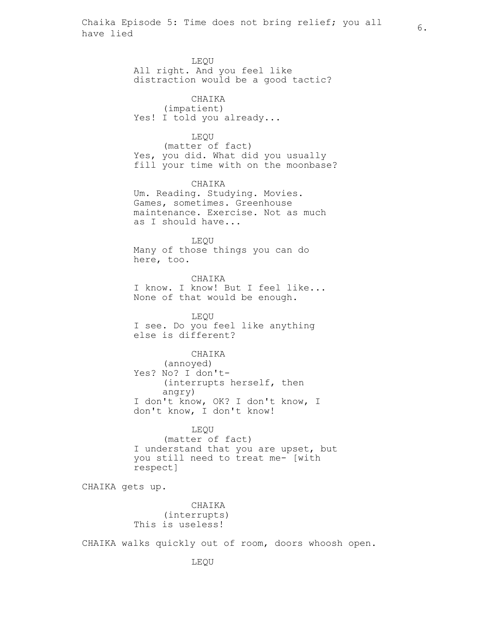LEQU All right. And you feel like distraction would be a good tactic? CHAIKA (impatient) Yes! I told you already... LEQU (matter of fact) Yes, you did. What did you usually fill your time with on the moonbase? CHAIKA Um. Reading. Studying. Movies. Games, sometimes. Greenhouse maintenance. Exercise. Not as much as I should have... LEQU Many of those things you can do here, too. CHAIKA I know. I know! But I feel like... None of that would be enough. LEQU I see. Do you feel like anything else is different? CHAIKA (annoyed) Yes? No? I don't- (interrupts herself, then angry) I don't know, OK? I don't know, I don't know, I don't know! LEQU (matter of fact)

I understand that you are upset, but you still need to treat me- [with respect]

CHAIKA gets up.

CHAIKA (interrupts) This is useless!

CHAIKA walks quickly out of room, doors whoosh open.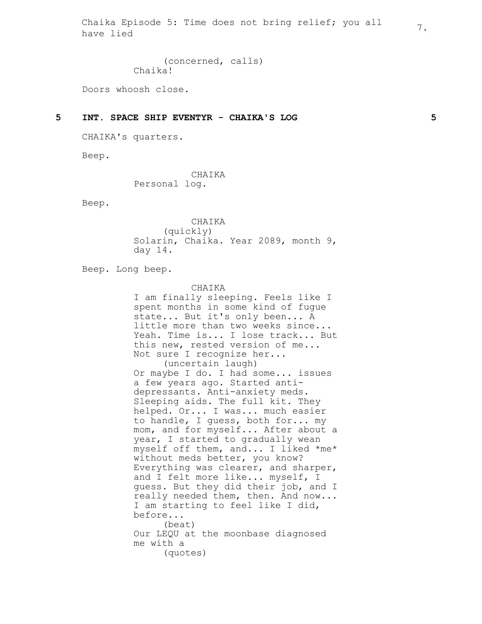Chaika Episode 5: Time does not bring relief; you all  $\overline{7}.$ 

(concerned, calls) Chaika!

Doors whoosh close.

### **5 INT. SPACE SHIP EVENTYR - CHAIKA'S LOG 5**

CHAIKA's quarters.

Beep.

CHAIKA Personal log.

Beep.

CHAIKA (quickly) Solarin, Chaika. Year 2089, month 9, day 14.

Beep. Long beep.

CHAIKA

I am finally sleeping. Feels like I spent months in some kind of fugue state... But it's only been... A little more than two weeks since... Yeah. Time is... I lose track... But this new, rested version of me... Not sure I recognize her... (uncertain laugh) Or maybe I do. I had some... issues a few years ago. Started antidepressants. Anti-anxiety meds. Sleeping aids. The full kit. They helped. Or... I was... much easier to handle, I guess, both for... my mom, and for myself... After about a year, I started to gradually wean myself off them, and... I liked \*me\* without meds better, you know? Everything was clearer, and sharper, and I felt more like... myself, I guess. But they did their job, and I really needed them, then. And now... I am starting to feel like I did, before... (beat) Our LEQU at the moonbase diagnosed me with a (quotes)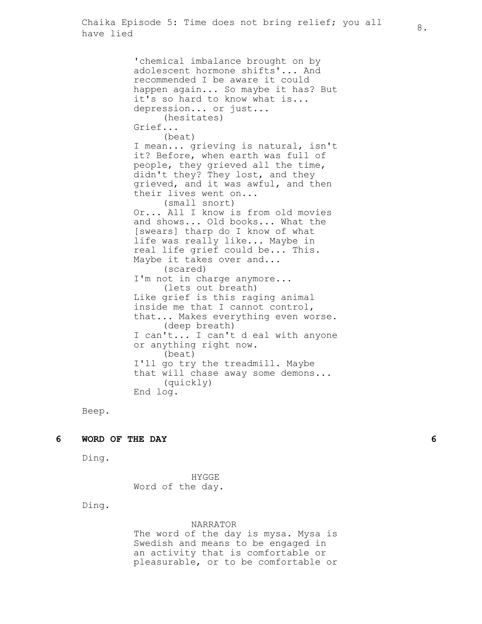'chemical imbalance brought on by adolescent hormone shifts'... And recommended I be aware it could happen again... So maybe it has? But it's so hard to know what is... depression... or just... (hesitates) Grief... (beat) I mean... grieving is natural, isn't it? Before, when earth was full of people, they grieved all the time, didn't they? They lost, and they grieved, and it was awful, and then their lives went on... (small snort) Or... All I know is from old movies and shows... Old books... What the [swears] tharp do I know of what life was really like... Maybe in real life grief could be... This. Maybe it takes over and... (scared) I'm not in charge anymore... (lets out breath) Like grief is this raging animal inside me that I cannot control, that... Makes everything even worse. (deep breath) I can't... I can't d eal with anyone or anything right now. (beat) I'll go try the treadmill. Maybe that will chase away some demons... (quickly) End log.

Beep.

### **6 WORD OF THE DAY 6**

Ding.

HYGGE Word of the day.

Ding.

#### NARRATOR

The word of the day is mysa. Mysa is Swedish and means to be engaged in an activity that is comfortable or pleasurable, or to be comfortable or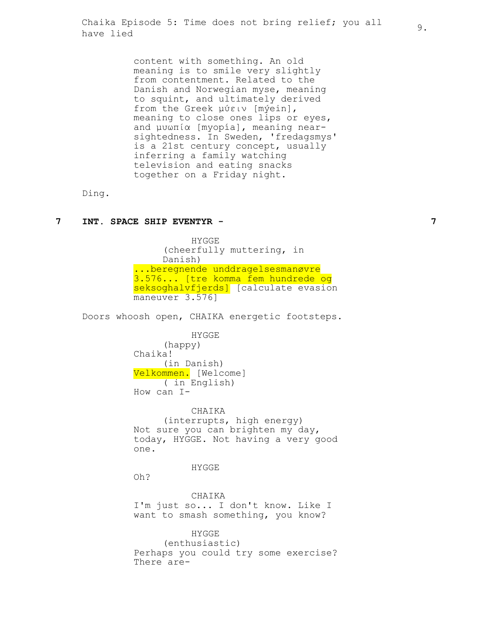content with something. An old meaning is to smile very slightly from contentment. Related to the Danish and Norwegian myse, meaning to squint, and ultimately derived from the Greek μύειν [mýein], meaning to close ones lips or eyes, and μυωπία [myopía], meaning nearsightedness. In Sweden, 'fredagsmys' is a 21st century concept, usually inferring a family watching television and eating snacks together on a Friday night.

Ding.

# **7 INT. SPACE SHIP EVENTYR - 7**

HYGGE (cheerfully muttering, in Danish) ...beregnende unddragelsesmanøvre 3.576... [tre komma fem hundrede og seksoghalvfjerds] [calculate evasion maneuver 3.576]

Doors whoosh open, CHAIKA energetic footsteps.

HYGGE (happy) Chaika! (in Danish) Velkommen. [Welcome] ( in English) How can I-

CHAIKA (interrupts, high energy) Not sure you can brighten my day, today, HYGGE. Not having a very good one.

HYGGE

Oh?

CHAIKA I'm just so... I don't know. Like I want to smash something, you know?

HYGGE (enthusiastic) Perhaps you could try some exercise? There are-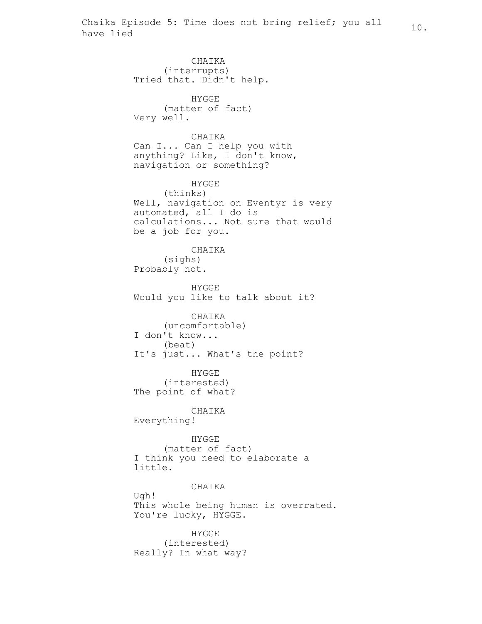CHAIKA (interrupts) Tried that. Didn't help. HYGGE (matter of fact) Very well. CHAIKA Can I... Can I help you with anything? Like, I don't know, navigation or something? HYGGE (thinks) Well, navigation on Eventyr is very automated, all I do is calculations... Not sure that would be a job for you. CHAIKA (sighs) Probably not. HYGGE Would you like to talk about it? CHAIKA (uncomfortable) I don't know... (beat) It's just... What's the point? HYGGE (interested) The point of what? CHAIKA Everything! HYGGE (matter of fact) I think you need to elaborate a little. CHAIKA Ugh! This whole being human is overrated. You're lucky, HYGGE.

HYGGE (interested) Really? In what way?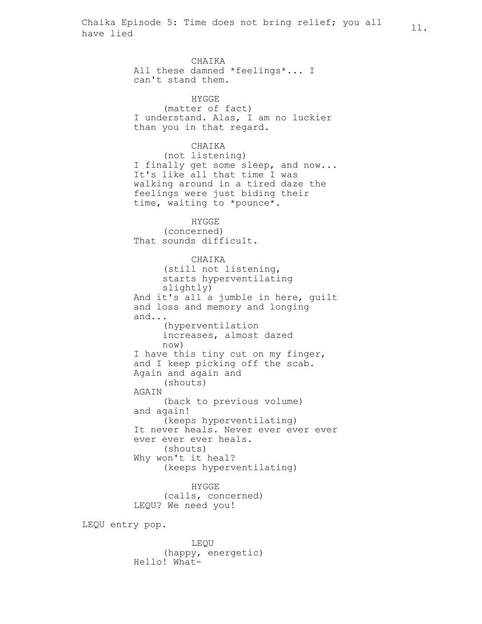CHAIKA All these damned \*feelings\*... I can't stand them. HYGGE (matter of fact) I understand. Alas, I am no luckier than you in that regard. CHAIKA (not listening) I finally get some sleep, and now... It's like all that time I was walking around in a tired daze the feelings were just biding their time, waiting to \*pounce\*. HYGGE (concerned) That sounds difficult. CHAIKA (still not listening, starts hyperventilating slightly) And it's all a jumble in here, guilt and loss and memory and longing and... (hyperventilation increases, almost dazed now) I have this tiny cut on my finger, and I keep picking off the scab. Again and again and (shouts) **AGAIN** (back to previous volume) and again! (keeps hyperventilating) It never heals. Never ever ever ever ever ever ever heals. (shouts) Why won't it heal? (keeps hyperventilating) HYGGE

(calls, concerned) LEQU? We need you!

LEQU entry pop.

LEQU (happy, energetic) Hello! What-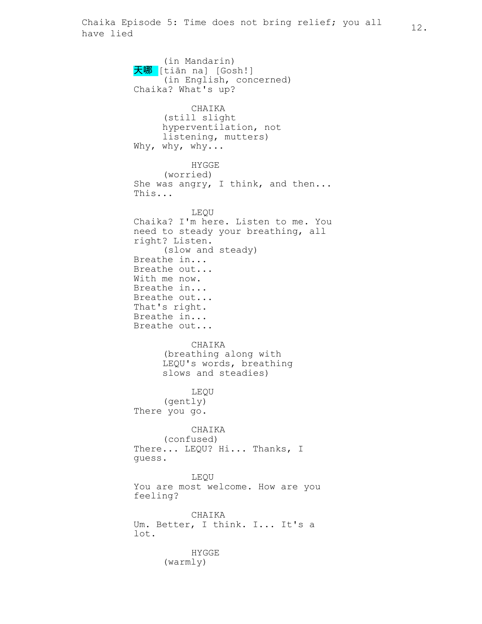(in Mandarin) 天哪 [tiān na] [Gosh!] (in English, concerned) Chaika? What's up? CHAIKA (still slight hyperventilation, not listening, mutters) Why, why, why... HYGGE (worried) She was angry, I think, and then... This... LEQU Chaika? I'm here. Listen to me. You need to steady your breathing, all right? Listen. (slow and steady) Breathe in... Breathe out... With me now. Breathe in... Breathe out... That's right. Breathe in... Breathe out... CHAIKA (breathing along with LEQU's words, breathing slows and steadies) LEQU (gently) There you go. CHAIKA (confused) There... LEQU? Hi... Thanks, I guess. LEQU You are most welcome. How are you feeling? CHAIKA Um. Better, I think. I... It's a lot. HYGGE (warmly)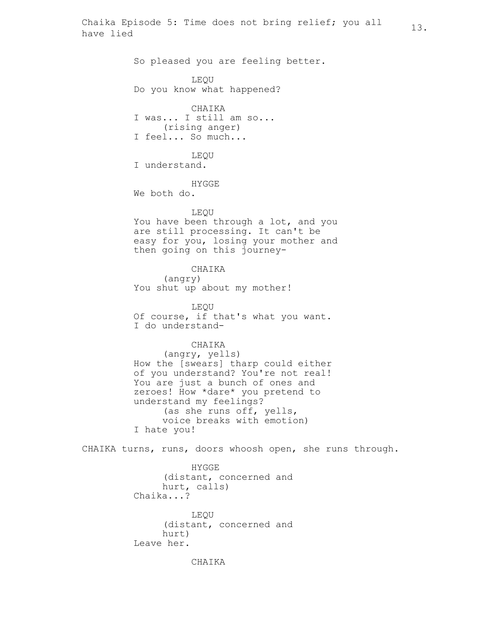So pleased you are feeling better.

LEQU

Do you know what happened?

CHAIKA I was... I still am so... (rising anger) I feel... So much...

LEQU I understand.

HYGGE

We both do.

## LEQU

You have been through a lot, and you are still processing. It can't be easy for you, losing your mother and then going on this journey-

CHAIKA

(angry) You shut up about my mother!

LEQU Of course, if that's what you want. I do understand-

### CHAIKA

(angry, yells) How the [swears] tharp could either of you understand? You're not real! You are just a bunch of ones and zeroes! How \*dare\* you pretend to understand my feelings? (as she runs off, yells, voice breaks with emotion) I hate you!

CHAIKA turns, runs, doors whoosh open, she runs through.

HYGGE (distant, concerned and hurt, calls) Chaika...?

LEQU (distant, concerned and hurt) Leave her.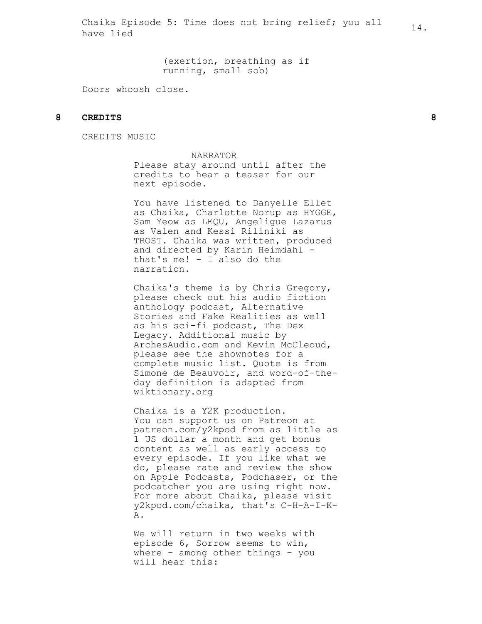(exertion, breathing as if running, small sob)

Doors whoosh close.

# **8 CREDITS 8**

CREDITS MUSIC

NARRATOR

Please stay around until after the credits to hear a teaser for our next episode.

You have listened to Danyelle Ellet as Chaika, Charlotte Norup as HYGGE, Sam Yeow as LEQU, Angeligue Lazarus as Valen and Kessi Riliniki as TROST. Chaika was written, produced and directed by Karin Heimdahl that's me! - I also do the narration.

Chaika's theme is by Chris Gregory, please check out his audio fiction anthology podcast, Alternative Stories and Fake Realities as well as his sci-fi podcast, The Dex Legacy. Additional music by ArchesAudio.com and Kevin McCleoud, please see the shownotes for a complete music list. Quote is from Simone de Beauvoir, and word-of-theday definition is adapted from wiktionary.org

Chaika is a Y2K production. You can support us on Patreon at patreon.com/y2kpod from as little as 1 US dollar a month and get bonus content as well as early access to every episode. If you like what we do, please rate and review the show on Apple Podcasts, Podchaser, or the podcatcher you are using right now. For more about Chaika, please visit y2kpod.com/chaika, that's C-H-A-I-K-A.

We will return in two weeks with episode 6, Sorrow seems to win, where - among other things - you will hear this: